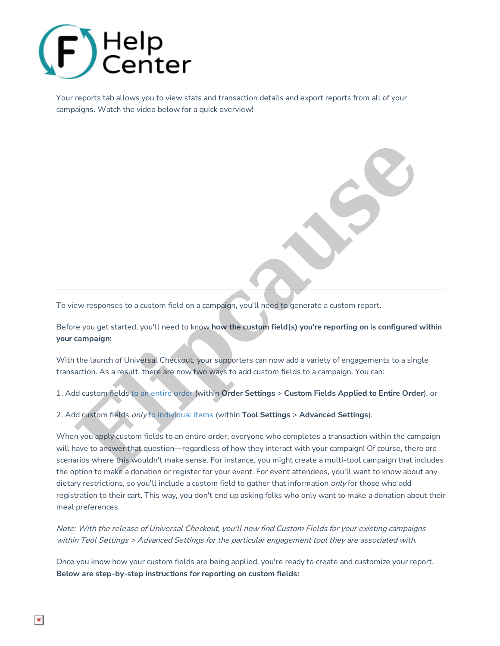

Your reports tab allows you to view stats and transaction details and export reports from all of your campaigns. Watch the video below for a quick overview!

To view responses to a custom field on a campaign, you'll need to generate a custom report.

Before you get started, you'll need to know **how the custom field(s) you're reporting on is configured within your campaign:**

With the launch of Universal Checkout, your supporters can now add a variety of engagements to a single transaction. As a result, there are now two ways to add custom fields to a campaign. You can:

1. Add custom fields to an entire order (within **Order Settings** > **Custom Fields Applied to Entire Order**), or

2. Add custom fields only to individual items (within **Tool Settings** > **Advanced Settings**).

When you apply custom fields to an entire order, everyone who completes a transaction within the campaign will have to answer that question—regardless of how they interact with your campaign! Of course, there are scenarios where this wouldn't make sense. For instance, you might create a multi-tool campaign that includes the option to make a donation or register for your event. For event attendees, you'll want to know about any dietary restrictions, so you'll include a custom field to gather that information only for those who add registration to their cart. This way, you don't end up asking folks who only want to make a donation about their meal preferences. Experiments to a custom field on a campaign, you'll need to generate a custom report.<br> **Fluence is a custom field on a campaign, you'll need to generate a custom report.**<br> **Fluence is a custom field on a campaign:**<br> **Final** 

Note: With the release of Universal Checkout, you'll now find Custom Fields for your existing campaigns within Tool Settings <sup>&</sup>gt; Advanced Settings for the particular engagement tool they are associated with.

Once you know how your custom fields are being applied, you're ready to create and customize your report. **Below are step-by-step instructions for reporting on custom fields:**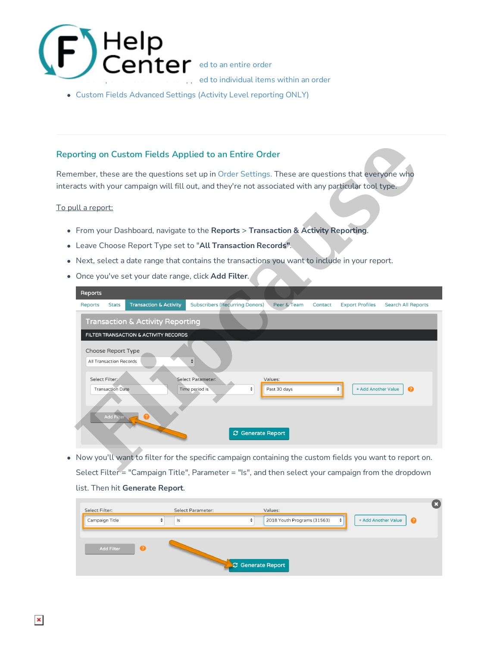

Custom Fields Advanced Settings (Activity Level reporting ONLY)

## **Reporting on Custom Fields Applied to an Entire Order**

Remember, these are the questions set up in Order Settings. These are questions that everyone who interacts with your campaign will fill out, and they're not associated with any particular tool type.

### To pull a report:

- From your Dashboard, navigate to the **Reports** > **Transaction & Activity Reporting**.
- Leave Choose Report Type set to "**All Transaction Records"**.
- Next, select a date range that contains the transactions you want to include in your report.
- Once you've set your date range, click **Add Filter**.

| orting on Custom Fields Applied to an Entire Order                                                                                                                                            |
|-----------------------------------------------------------------------------------------------------------------------------------------------------------------------------------------------|
| ember, these are the questions set up in Order Settings. These are questions that everyone who                                                                                                |
| acts with your campaign will fill out, and they're not associated with any particular tool type.                                                                                              |
| <u>ull a report:</u>                                                                                                                                                                          |
| From your Dashboard, navigate to the Reports > Transaction & Activity Reporting.                                                                                                              |
| Leave Choose Report Type set to "All Transaction Records".                                                                                                                                    |
| Next, select a date range that contains the transactions you want to include in your report.                                                                                                  |
| Once you've set your date range, click Add Filter.                                                                                                                                            |
| Reports                                                                                                                                                                                       |
| <b>Subscribers (Recurring Donors)</b><br><b>Transaction &amp; Activity</b><br>Peer & Team<br><b>Reports</b><br><b>Stats</b><br>Contact<br><b>Export Profiles</b><br><b>Search All Reports</b> |
| <b>Transaction &amp; Activity Reporting</b>                                                                                                                                                   |
| FILTER TRANSACTION & ACTIVITY RECORDS                                                                                                                                                         |
| <b>Choose Report Type</b>                                                                                                                                                                     |
| All Transaction Records<br>÷                                                                                                                                                                  |
| Select Filter:<br>Select Parameter:<br>Values:                                                                                                                                                |
| <b>Transaction Date</b><br>Time period is<br>ଵ<br>÷<br>Past 30 days<br>+ Add Another Value                                                                                                    |
|                                                                                                                                                                                               |
| <b>Add Filter</b>                                                                                                                                                                             |
| <b>C</b> Generate Report                                                                                                                                                                      |
| Now you'll want to filter for the specific campaign containing the custom fields you want to report on.                                                                                       |
| Select Filter = "Campaign Title", Parameter = "Is", and then select your campaign from the dropdown                                                                                           |
| list. Then hit Generate Report.                                                                                                                                                               |

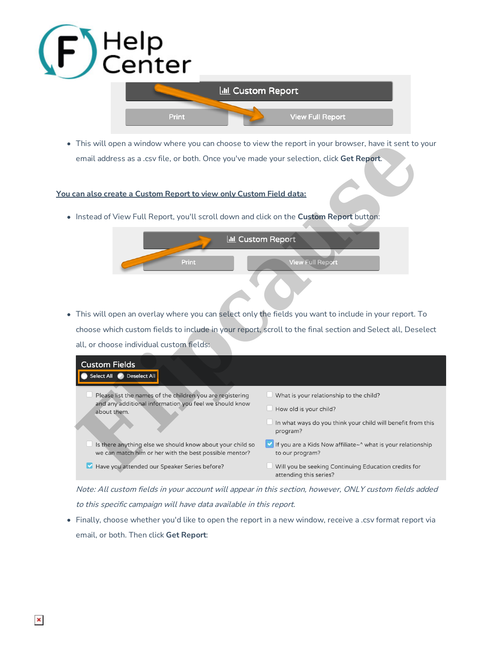

### **You can also create a Custom Report to view only Custom Field data:**



| This will open a window where you can choose to view the report in your browser, have it sent to your               |                                                                                |
|---------------------------------------------------------------------------------------------------------------------|--------------------------------------------------------------------------------|
| email address as a .csv file, or both. Once you've made your selection, click Get Report.                           |                                                                                |
| can also create a Custom Report to view only Custom Field data:                                                     |                                                                                |
|                                                                                                                     |                                                                                |
| Instead of View Full Report, you'll scroll down and click on the Custom Report button:                              |                                                                                |
|                                                                                                                     | <b>III</b> Custom Report                                                       |
| Print                                                                                                               | <b>View Full Report</b>                                                        |
|                                                                                                                     |                                                                                |
|                                                                                                                     |                                                                                |
|                                                                                                                     |                                                                                |
| This will open an overlay where you can select only the fields you want to include in your report. To               |                                                                                |
| choose which custom fields to include in your report, scroll to the final section and Select all, Deselect          |                                                                                |
| all, or choose individual custom fields:                                                                            |                                                                                |
| <b>Custom Fields</b>                                                                                                |                                                                                |
| Select All<br><b>Deselect All</b>                                                                                   |                                                                                |
| Please list the names of the children you are registering                                                           | $\Box$ What is your relationship to the child?                                 |
| and any additional information you feel we should know<br>about them.                                               | How old is your child?                                                         |
|                                                                                                                     | In what ways do you think your child will benefit from this<br>program?        |
| Is there anything else we should know about your child so<br>we can match him or her with the best possible mentor? | If you are a Kids Now affiliate~^ what is your relationship<br>to our program? |
| Have you attended our Speaker Series before?<br>$\blacktriangleright$                                               | Will you be seeking Continuing Education credits for<br>attending this series? |

Note: All custom fields in your account will appear in this section, however, ONLY custom fields added to this specific campaign will have data available in this report.

Finally, choose whether you'd like to open the report in a new window, receive a .csv format report via email, or both. Then click **Get Report**: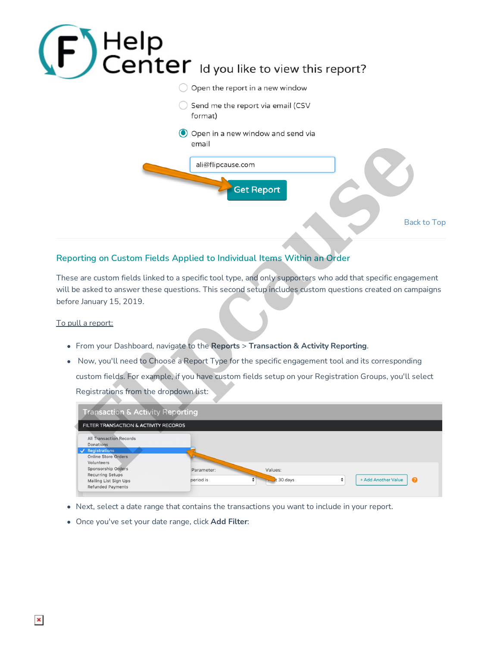

# **Reporting on Custom Fields Applied to Individual Items Within an Order**

These are custom fields linked to a specific tool type, and only supporters who add that specific engagement will be asked to answer these questions. This second setup includes custom questions created on campaigns before January 15, 2019.

### To pull a report:

- From your Dashboard, navigate to the **Reports** > **Transaction & Activity Reporting**.
- Now, you'll need to Choose a Report Type for the specific engagement tool and its corresponding custom fields. For example, if you have custom fields setup on your Registration Groups, you'll select Registrations from the dropdown list:

| <b>Transaction &amp; Activity Reporting</b>                 |            |                  |   |                     |                       |
|-------------------------------------------------------------|------------|------------------|---|---------------------|-----------------------|
| FILTER TRANSACTION & ACTIVITY RECORDS                       |            |                  |   |                     |                       |
| All Transaction Records<br>Donations                        |            |                  |   |                     |                       |
| V Registrations<br><b>Online Store Orders</b>               |            |                  |   |                     |                       |
| Volunteers<br>Sponsorship Orders<br><b>Recurring Setups</b> | Parameter: | Values:          |   |                     |                       |
| Mailing List Sign Ups<br><b>Refunded Payments</b>           | period is  | $t$ 30 days<br>٠ | ÷ | + Add Another Value | $\boldsymbol{\Omega}$ |

- Next, select a date range that contains the transactions you want to include in your report.
- Once you've set your date range, click **Add Filter**: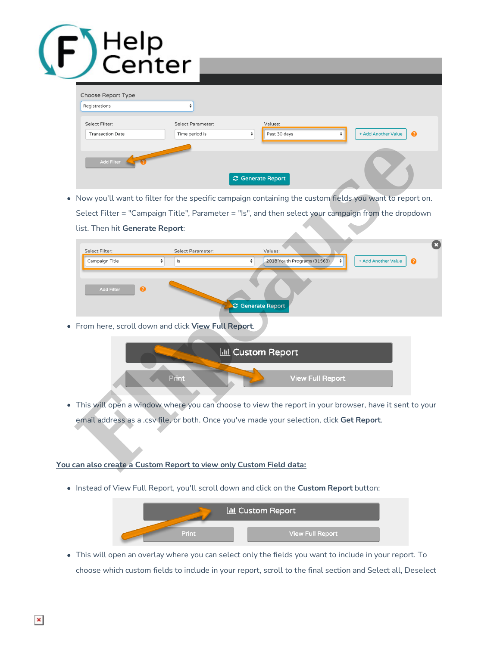# Help<br>Center

| Choose Report Type<br>Registrations       |                                     |                              |                                                      |
|-------------------------------------------|-------------------------------------|------------------------------|------------------------------------------------------|
| Select Filter:<br><b>Transaction Date</b> | Select Parameter:<br>Time period is | Values:<br>÷<br>Past 30 days | + Add Another Value<br>ø<br>$\overline{\phantom{a}}$ |
| Add Filter                                |                                     | C Generate Report            |                                                      |

| <b>Add Filter</b><br>$\boldsymbol{\mathcal{C}}$ Generate Report                                         |                                                         |
|---------------------------------------------------------------------------------------------------------|---------------------------------------------------------|
| Now you'll want to filter for the specific campaign containing the custom fields you want to report on. |                                                         |
| Select Filter = "Campaign Title", Parameter = "Is", and then select your campaign from the dropdown     |                                                         |
| list. Then hit Generate Report:                                                                         |                                                         |
| Select Filter:<br>Select Parameter:<br>Values:<br>Campaign Title<br>÷<br>Is<br>÷                        | 2018 Youth Programs (31563)<br>+ Add Another Value<br>Ω |
| <b>Add Filter</b><br>ค<br>C Generate Report                                                             |                                                         |
| From here, scroll down and click View Full Report.                                                      |                                                         |
| <b>ILL</b> Custom Report<br>Print                                                                       | <b>View Full Report</b>                                 |
| This will open a window where you can choose to view the report in your browser, have it sent to your   |                                                         |
| email address as a .csv file, or both. Once you've made your selection, click Get Report.               |                                                         |
| can also create a Custom Report to view only Custom Field data:                                         |                                                         |



### **You can also create a Custom Report to view only Custom Field data:**

Instead of View Full Report, you'll scroll down and click on the **Custom Report** button:



This will open an overlay where you can select only the fields you want to include in your report. To choose which custom fields to include in your report, scroll to the final section and Select all, Deselect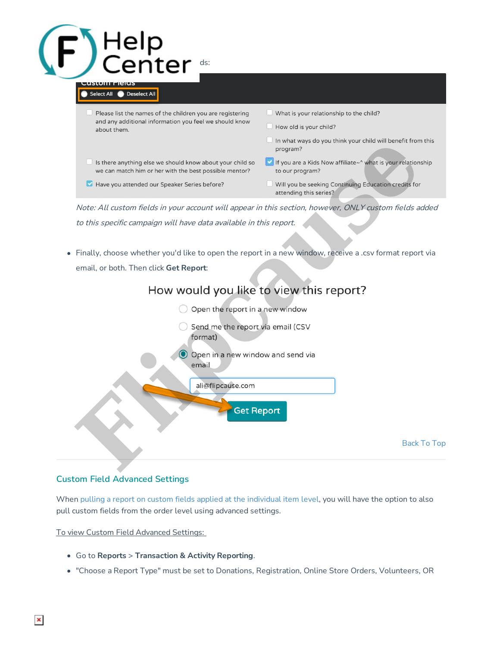

Finally, choose whether you'd like to open the report in a new window, receive a .csv format report via email, or both. Then click **Get Report**:





### **Custom Field Advanced Settings**

When pulling a report on custom fields applied at the individual item level, you will have the option to also pull custom fields from the order level using advanced settings.

To view Custom Field Advanced Settings:

- Go to **Reports** > **Transaction & Activity Reporting**.
- "Choose a Report Type" must be set to Donations, Registration, Online Store Orders, Volunteers, OR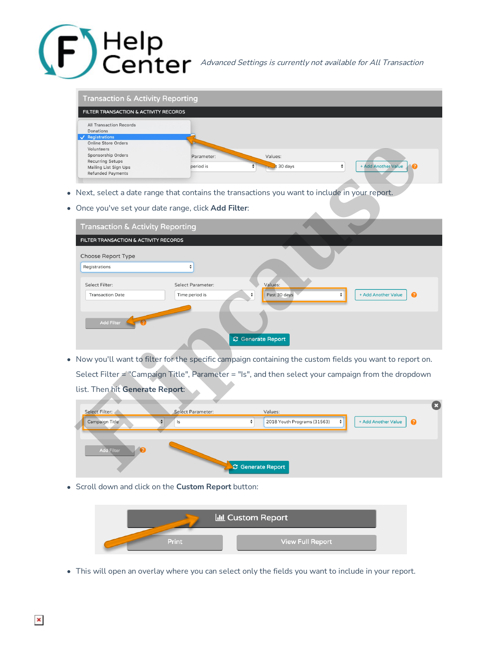

**Sponsorship Orders (Custom Figure Advanced Settings is currently not available for All Transaction** 

| <b>Transaction &amp; Activity Reporting</b>                         |            |                  |                                |
|---------------------------------------------------------------------|------------|------------------|--------------------------------|
| FILTER TRANSACTION & ACTIVITY RECORDS                               |            |                  |                                |
| All Transaction Records<br>Donations                                |            |                  |                                |
| $\sqrt{}$ Registrations<br><b>Online Store Orders</b><br>Volunteers |            |                  |                                |
| Sponsorship Orders<br><b>Recurring Setups</b>                       | Parameter: | Values:          |                                |
| Mailing List Sign Ups<br><b>Refunded Payments</b>                   | period is  | $\sim$ t 30 days | + Add Another Value<br>ப∙<br>٠ |

- Next, select a date range that contains the transactions you want to include in your report.
- Once you've set your date range, click **Add Filter**:

| Online Store Orders<br>Volunteers                                                                  |                                                    |                                                                                              |                                                                                                         |
|----------------------------------------------------------------------------------------------------|----------------------------------------------------|----------------------------------------------------------------------------------------------|---------------------------------------------------------------------------------------------------------|
| Sponsorship Orders<br><b>Recurring Setups</b><br>Mailing List Sign Ups<br><b>Refunded Payments</b> | Parameter:                                         | Values:                                                                                      |                                                                                                         |
|                                                                                                    | period is                                          | $t$ 30 days                                                                                  | ÷<br>+ Add Another Value                                                                                |
|                                                                                                    |                                                    |                                                                                              |                                                                                                         |
|                                                                                                    |                                                    | Next, select a date range that contains the transactions you want to include in your report. |                                                                                                         |
|                                                                                                    | Once you've set your date range, click Add Filter: |                                                                                              |                                                                                                         |
| <b>Transaction &amp; Activity Reporting</b>                                                        |                                                    |                                                                                              |                                                                                                         |
| FILTER TRANSACTION & ACTIVITY RECORDS                                                              |                                                    |                                                                                              |                                                                                                         |
| Choose Report Type                                                                                 |                                                    |                                                                                              |                                                                                                         |
| Registrations                                                                                      | $\pmb{\div}$                                       |                                                                                              |                                                                                                         |
| Select Filter:                                                                                     | Select Parameter:                                  | Values:                                                                                      |                                                                                                         |
| <b>Transaction Date</b>                                                                            | Time period is                                     | Past 30 days<br>$\hat{ }$                                                                    | ÷<br>+ Add Another Value<br>⋒                                                                           |
|                                                                                                    |                                                    |                                                                                              |                                                                                                         |
| <b>Add Filter</b>                                                                                  |                                                    |                                                                                              |                                                                                                         |
|                                                                                                    |                                                    | <b>C</b> Generate Report                                                                     |                                                                                                         |
|                                                                                                    |                                                    |                                                                                              |                                                                                                         |
|                                                                                                    |                                                    |                                                                                              | Now you'll want to filter for the specific campaign containing the custom fields you want to report on. |
|                                                                                                    |                                                    |                                                                                              | Select Filter = "Campaign Title", Parameter = "Is", and then select your campaign from the dropdown     |
| list. Then hit Generate Report:                                                                    |                                                    |                                                                                              |                                                                                                         |
|                                                                                                    |                                                    |                                                                                              |                                                                                                         |
| Select Filter:                                                                                     | <b>Select Parameter:</b>                           | Values:                                                                                      |                                                                                                         |
| Campaign Title                                                                                     | Is                                                 | ÷<br>2018 Youth Programs (31563)                                                             | + Add Another Value                                                                                     |
|                                                                                                    |                                                    |                                                                                              |                                                                                                         |
| <b>Add Filter</b>                                                                                  |                                                    |                                                                                              |                                                                                                         |
|                                                                                                    |                                                    | <b>C</b> Generate Report                                                                     |                                                                                                         |
|                                                                                                    |                                                    |                                                                                              |                                                                                                         |

| Select Filter:    | Select Parameter: | Values:                     |   |                     |     |
|-------------------|-------------------|-----------------------------|---|---------------------|-----|
| Campaign Title    | ls                | 2018 Youth Programs (31563) | ÷ | + Add Another Value | - 0 |
| <b>Add Filter</b> |                   | C Generate Report           |   |                     |     |

Scroll down and click on the **Custom Report** button:



This will open an overlay where you can select only the fields you want to include in your report.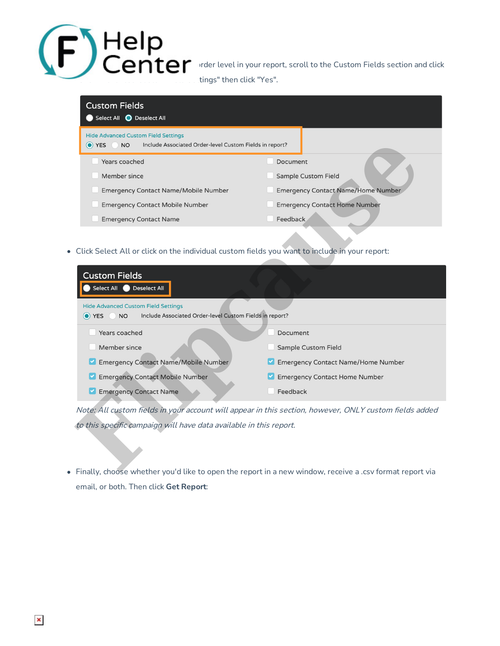$\blacksquare$   $\blacksquare$   $\blacksquare$   $\blacksquare$   $\blacksquare$  rder level in your report, scroll to the Custom Fields section and click **Thomas Advanced Custom Field Settings** " then click "Yes".

# **Custom Fields** Select All C Deselect All

- 
- 
- 
- 
- 
- 
- 
- Click Select All or click on the individual custom fields you want to include in your report:

| O YES<br>Include Associated Order-level Custom Fields in report?<br><b>NO</b>                                               |                                           |
|-----------------------------------------------------------------------------------------------------------------------------|-------------------------------------------|
| Years coached                                                                                                               | Document                                  |
| Member since                                                                                                                | <b>Sample Custom Field</b>                |
| <b>Emergency Contact Name/Mobile Number</b>                                                                                 | <b>Emergency Contact Name/Home Number</b> |
| <b>Emergency Contact Mobile Number</b>                                                                                      | <b>Emergency Contact Home Number</b>      |
| <b>Emergency Contact Name</b>                                                                                               | Feedback                                  |
| Click Select All or click on the individual custom fields you want to include in your report:                               |                                           |
| <b>Custom Fields</b><br>Select All<br><b>Deselect All</b>                                                                   |                                           |
| <b>Hide Advanced Custom Field Settings</b><br>Include Associated Order-level Custom Fields in report?<br>O YES<br><b>NO</b> |                                           |
| Years coached                                                                                                               | Document                                  |
| Member since                                                                                                                | <b>Sample Custom Field</b>                |
| <b>Emergency Contact Name/Mobile Number</b>                                                                                 | <b>Emergency Contact Name/Home Number</b> |
| <b>Emergency Contact Mobile Number</b>                                                                                      | <b>Emergency Contact Home Number</b>      |
| <b>Emergency Contact Name</b>                                                                                               | Feedback                                  |
| Note: All custom fields in your account will appear in this section, however, ONLY custom fields added                      |                                           |
| to this specific campaign will have data available in this report.                                                          |                                           |
|                                                                                                                             |                                           |
| Finally, choose whether you'd like to open the report in a new window, receive a .csv format report via                     |                                           |
| email, or both. Then click Get Report:                                                                                      |                                           |